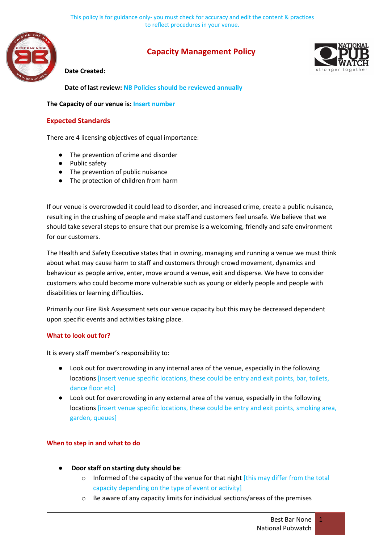

# **Capacity Management Policy**



### **Date Created:**

**Date of last review: NB Policies should be reviewed annually**

### **The Capacity of our venue is: Insert number**

## **Expected Standards**

There are 4 licensing objectives of equal importance:

- The prevention of crime and disorder
- Public safety
- The prevention of public nuisance
- The protection of children from harm

If our venue is overcrowded it could lead to disorder, and increased crime, create a public nuisance, resulting in the crushing of people and make staff and customers feel unsafe. We believe that we should take several steps to ensure that our premise is a welcoming, friendly and safe environment for our customers.

The Health and Safety Executive states that in owning, managing and running a venue we must think about what may cause harm to staff and customers through crowd movement, dynamics and behaviour as people arrive, enter, move around a venue, exit and disperse. We have to consider customers who could become more vulnerable such as young or elderly people and people with disabilities or learning difficulties.

Primarily our Fire Risk Assessment sets our venue capacity but this may be decreased dependent upon specific events and activities taking place.

#### **What to look out for?**

It is every staff member's responsibility to:

- Look out for overcrowding in any internal area of the venue, especially in the following locations [insert venue specific locations, these could be entry and exit points, bar, toilets, dance floor etc]
- Look out for overcrowding in any external area of the venue, especially in the following locations [insert venue specific locations, these could be entry and exit points, smoking area, garden, queues]

## **When to step in and what to do**

- **Door staff on starting duty should be:** 
	- $\circ$  Informed of the capacity of the venue for that night [this may differ from the total capacity depending on the type of event or activity]
	- o Be aware of any capacity limits for individual sections/areas of the premises

1